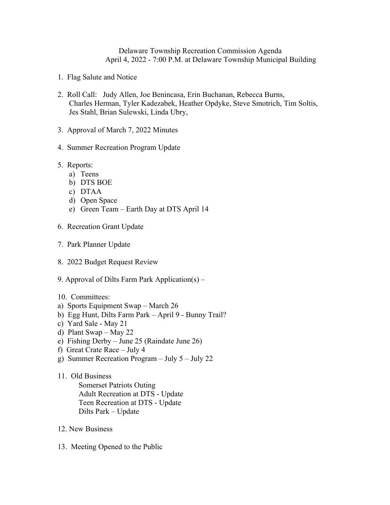## Delaware Township Recreation Commission Agenda April 4, 2022 - 7:00 P.M. at Delaware Township Municipal Building

- 1. Flag Salute and Notice
- 2. Roll Call: Judy Allen, Joe Benincasa, Erin Buchanan, Rebecca Burns, Charles Herman, Tyler Kadezabek, Heather Opdyke, Steve Smotrich, Tim Soltis, Jes Stahl, Brian Sulewski, Linda Ubry,
- 3. Approval of March 7, 2022 Minutes
- 4. Summer Recreation Program Update
- 5. Reports:
	- a) Teens
	- b) DTS BOE
	- c) DTAA
	- d) Open Space
	- e) Green Team Earth Day at DTS April 14
- 6. Recreation Grant Update
- 7. Park Planner Update
- 8. 2022 Budget Request Review
- 9. Approval of Dilts Farm Park Application(s) –
- 10. Committees:
- a) Sports Equipment Swap March 26
- b) Egg Hunt, Dilts Farm Park April 9 Bunny Trail?
- c) Yard Sale May 21
- d) Plant Swap May 22
- e) Fishing Derby June 25 (Raindate June 26)
- f) Great Crate Race July 4
- g) Summer Recreation Program July 5 July 22
- 11. Old Business Somerset Patriots Outing Adult Recreation at DTS - Update Teen Recreation at DTS - Update Dilts Park – Update
- 12. New Business
- 13. Meeting Opened to the Public